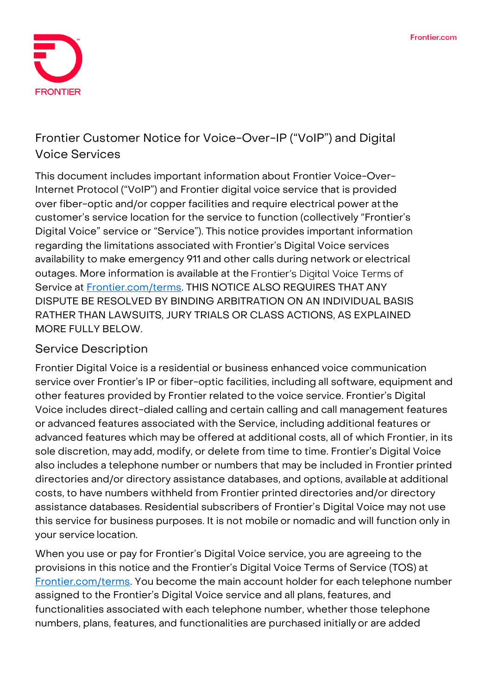

# **Frontier Customer Notice for Voice-Over-IP ("VoIP") and Digital Voice Services**

This document includes important information about Frontier Voice-Over-Internet Protocol ("VoIP") and Frontier digital voice service that is provided over fiber-optic and/or copper facilities and require electrical power atthe customer's service location for the service to function (collectively "Frontier's Digital Voice" service or "Service"). This notice provides important information regarding the limitations associated with Frontier's Digital Voice services availability to make emergency 911 and other calls during network or electrical outages. More information is available at the Frontier's Digital Voice Terms of Service at [Frontier.com/terms.](https://frontier.com/corporate/terms) THIS NOTICE ALSO REQUIRES THAT ANY DISPUTE BE RESOLVED BY BINDING ARBITRATION ON AN INDIVIDUAL BASIS RATHER THAN LAWSUITS, JURY TRIALS OR CLASS ACTIONS, AS EXPLAINED MORE FULLY BELOW.

## **Service Description**

Frontier Digital Voice is a residential or business enhanced voice communication service over Frontier's IP or fiber-optic facilities, including all software, equipment and other features provided by Frontier related to the voice service. Frontier's Digital Voice includes direct-dialed calling and certain calling and call management features or advanced features associated with the Service, including additional features or advanced features which may be offered at additional costs, all of which Frontier, in its sole discretion, may add, modify, or delete from time to time. Frontier's Digital Voice also includes a telephone number or numbers that may be included in Frontier printed directories and/or directory assistance databases, and options, available at additional costs, to have numbers withheld from Frontier printed directories and/or directory assistance databases. Residential subscribers of Frontier's Digital Voice may not use this service for business purposes. It is not mobile or nomadic and will function only in your service location.

When you use or pay for Frontier's Digital Voice service, you are agreeing to the provisions in this notice and the Frontier's Digital Voice Terms of Service (TOS) at [Frontier.com/terms.](https://frontier.com/corporate/terms) You become the main account holder for each telephone number assigned to the Frontier's Digital Voice service and all plans, features, and functionalities associated with each telephone number, whether those telephone numbers, plans, features, and functionalities are purchased initially or are added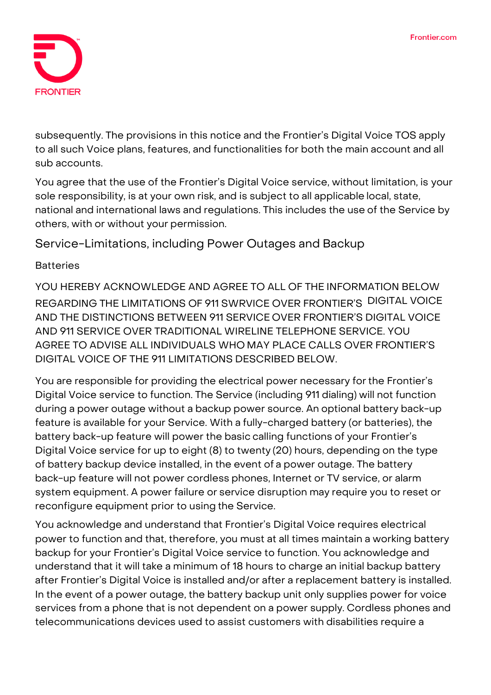

subsequently. The provisions in this notice and the Frontier's Digital Voice TOS apply to all such Voice plans, features, and functionalities for both the main account and all sub accounts.

You agree that the use of the Frontier's Digital Voice service, without limitation, is your sole responsibility, is at your own risk, and is subject to all applicable local, state, national and international laws and regulations. This includes the use of the Service by others, with or without your permission.

**Service-Limitations, including Power Outages and Backup**

### **Batteries**

YOU HEREBY ACKNOWLEDGE AND AGREE TO ALL OF THE INFORMATION BELOW REGARDING THE LIMITATIONS OF 911 SWRVICE OVER FRONTIER'S DIGITAL VOICE AND THE DISTINCTIONS BETWEEN 911 SERVICE OVER FRONTIER'S DIGITAL VOICE AND 911 SERVICE OVER TRADITIONAL WIRELINE TELEPHONE SERVICE. YOU AGREE TO ADVISE ALL INDIVIDUALS WHO MAY PLACE CALLS OVER FRONTIER'S DIGITAL VOICE OF THE 911 LIMITATIONS DESCRIBED BELOW.

You are responsible for providing the electrical power necessary forthe Frontier's Digital Voice service to function. The Service (including 911 dialing) will not function during a power outage without a backup power source. An optional battery back-up feature is available for your Service. With a fully-charged battery (or batteries), the battery back-up feature will power the basic calling functions of your Frontier's Digital Voice service for up to eight (8) to twenty (20) hours, depending on the type of battery backup device installed, in the event of a power outage. The battery back-up feature will not power cordless phones, Internet or TV service, or alarm system equipment. A power failure or service disruption may require you to reset or reconfigure equipment prior to using the Service.

You acknowledge and understand that Frontier's Digital Voice requires electrical power to function and that, therefore, you must at all times maintain a working battery backup for your Frontier's Digital Voice service to function. You acknowledge and understand that it will take a minimum of 18 hours to charge an initial backup battery after Frontier's Digital Voice is installed and/or after a replacement battery is installed. In the event of a power outage, the battery backup unit only supplies power for voice services from a phone that is not dependent on a power supply. Cordless phones and telecommunications devices used to assist customers with disabilities require a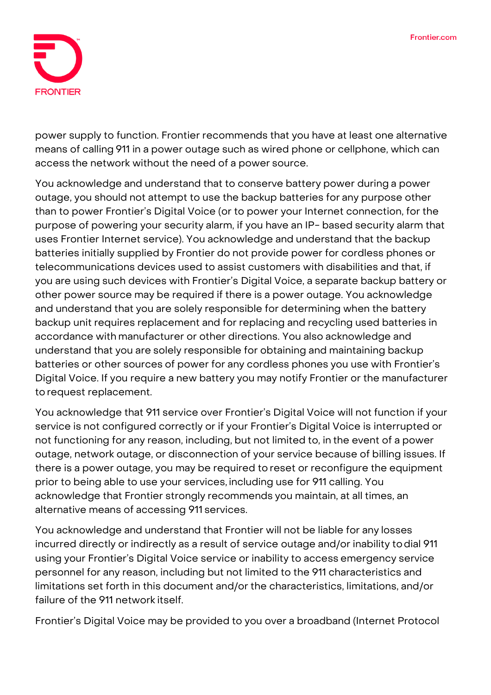

power supply to function. Frontier recommends that you have at least one alternative means of calling 911 in a power outage such as wired phone or cellphone, which can access the network without the need of a power source.

You acknowledge and understand that to conserve battery power during a power outage, you should not attempt to use the backup batteries for any purpose other than to power Frontier's Digital Voice (or to power your Internet connection, for the purpose of powering your security alarm, if you have an IP- based security alarm that uses Frontier Internet service). You acknowledge and understand that the backup batteries initially supplied by Frontier do not provide power for cordless phones or telecommunications devices used to assist customers with disabilities and that, if you are using such devices with Frontier's Digital Voice, a separate backup battery or other power source may be required if there is a power outage. You acknowledge and understand that you are solely responsible for determining when the battery backup unit requires replacement and for replacing and recycling used batteries in accordance with manufacturer or other directions. You also acknowledge and understand that you are solely responsible for obtaining and maintaining backup batteries or other sources of power for any cordless phones you use with Frontier's Digital Voice. If you require a new battery you may notify Frontier or the manufacturer torequest replacement.

You acknowledge that 911 service over Frontier's Digital Voice will not function if your service is not configured correctly or if your Frontier's Digital Voice is interrupted or not functioning for any reason, including, but not limited to, in the event of a power outage, network outage, or disconnection of your service because of billing issues. If there is a power outage, you may be required to reset or reconfigure the equipment prior to being able to use your services, including use for 911 calling. You acknowledge that Frontier strongly recommends you maintain, at all times, an alternative means of accessing 911 services.

You acknowledge and understand that Frontier will not be liable for any losses incurred directly or indirectly as a result of service outage and/or inability todial 911 using your Frontier's Digital Voice service or inability to access emergency service personnel for any reason, including but not limited to the 911 characteristics and limitations set forth in this document and/or the characteristics, limitations, and/or failure of the 911 network itself.

Frontier's Digital Voice may be provided to you over a broadband (Internet Protocol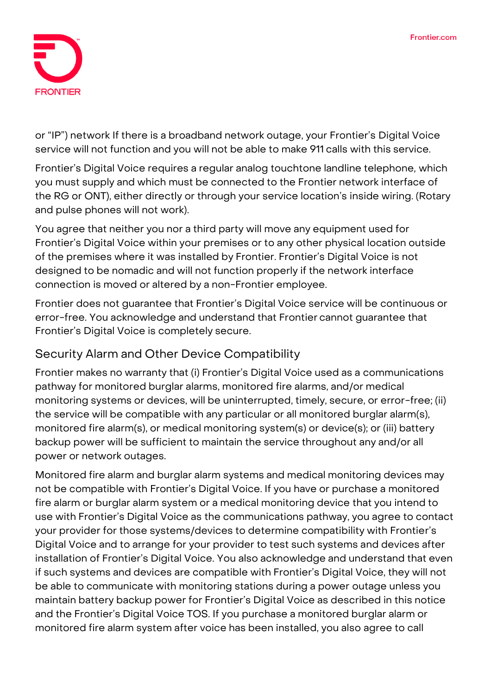

or "IP") network If there is a broadband network outage, your Frontier's Digital Voice service will not function and you will not be able to make 911 calls with this service.

Frontier's Digital Voice requires a regular analog touchtone landline telephone, which you must supply and which must be connected to the Frontier network interface of the RG or ONT), either directly or through your service location's inside wiring. (Rotary and pulse phones will not work).

You agree that neither you nor a third party will move any equipment used for Frontier's Digital Voice within your premises or to any other physical location outside of the premises where it was installed by Frontier. Frontier's Digital Voice is not designed to be nomadic and will not function properly if the network interface connection is moved or altered by a non-Frontier employee.

Frontier does not guarantee that Frontier's Digital Voice service will be continuous or error-free. You acknowledge and understand that Frontier cannot guarantee that Frontier's Digital Voice is completely secure.

## **Security Alarm and Other Device Compatibility**

Frontier makes no warranty that (i) Frontier's Digital Voice used as a communications pathway for monitored burglar alarms, monitored fire alarms, and/or medical monitoring systems or devices, will be uninterrupted, timely, secure, or error-free; (ii) the service will be compatible with any particular or all monitored burglar alarm(s), monitored fire alarm(s), or medical monitoring system(s) or device(s); or (iii) battery backup power will be sufficient to maintain the service throughout any and/or all power or network outages.

Monitored fire alarm and burglar alarm systems and medical monitoring devices may not be compatible with Frontier's Digital Voice. If you have or purchase a monitored fire alarm or burglar alarm system or a medical monitoring device that you intend to use with Frontier's Digital Voice as the communications pathway, you agree to contact your provider for those systems/devices to determine compatibility with Frontier's Digital Voice and to arrange for your provider to test such systems and devices after installation of Frontier's Digital Voice. You also acknowledge and understand that even if such systems and devices are compatible with Frontier's Digital Voice, they will not be able to communicate with monitoring stations during a power outage unless you maintain battery backup power for Frontier's Digital Voice as described in this notice and the Frontier's Digital Voice TOS. If you purchase a monitored burglar alarm or monitored fire alarm system after voice has been installed, you also agree to call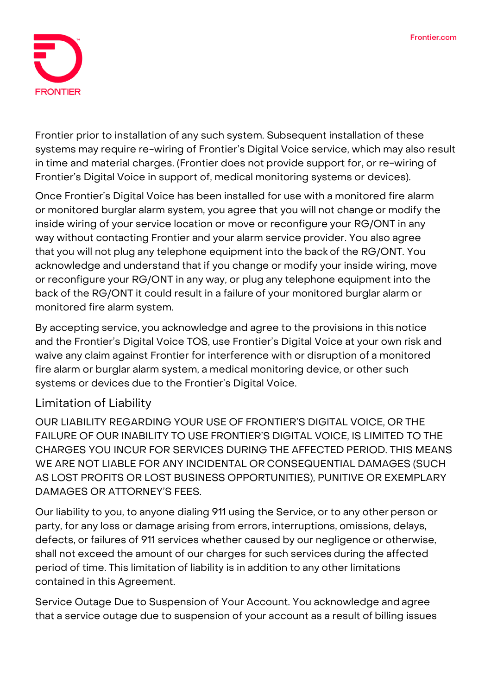

Frontier prior to installation of any such system. Subsequent installation of these systems may require re-wiring of Frontier's Digital Voice service, which may also result in time and material charges. (Frontier does not provide support for, or re-wiring of Frontier's Digital Voice in support of, medical monitoring systems or devices).

Once Frontier's Digital Voice has been installed for use with a monitored fire alarm or monitored burglar alarm system, you agree that you will not change or modify the inside wiring of your service location or move or reconfigure your RG/ONT in any way without contacting Frontier and your alarm service provider. You also agree that you will not plug any telephone equipment into the back of the RG/ONT. You acknowledge and understand that if you change or modify your inside wiring, move or reconfigure your RG/ONT in any way, or plug any telephone equipment into the back of the RG/ONT it could result in a failure of your monitored burglar alarm or monitored fire alarm system.

By accepting service, you acknowledge and agree to the provisions in this notice and the Frontier's Digital Voice TOS, use Frontier's Digital Voice at your own risk and waive any claim against Frontier for interference with or disruption of a monitored fire alarm or burglar alarm system, a medical monitoring device, or other such systems or devices due to the Frontier's Digital Voice.

## **Limitation of Liability**

OUR LIABILITY REGARDING YOUR USE OF FRONTIER'S DIGITAL VOICE, OR THE FAILURE OF OUR INABILITY TO USE FRONTIER'S DIGITAL VOICE, IS LIMITED TO THE CHARGES YOU INCUR FOR SERVICES DURING THE AFFECTED PERIOD. THIS MEANS WE ARE NOT LIABLE FOR ANY INCIDENTAL OR CONSEQUENTIAL DAMAGES (SUCH AS LOST PROFITS OR LOST BUSINESS OPPORTUNITIES), PUNITIVE OR EXEMPLARY DAMAGES OR ATTORNEY'S FEES.

Our liability to you, to anyone dialing 911 using the Service, or to any other person or party, for any loss or damage arising from errors, interruptions, omissions, delays, defects, or failures of 911 services whether caused by our negligence or otherwise, shall not exceed the amount of our charges for such services during the affected period of time. This limitation of liability is in addition to any other limitations contained in this Agreement.

Service Outage Due to Suspension of Your Account. You acknowledge and agree that a service outage due to suspension of your account as a result of billing issues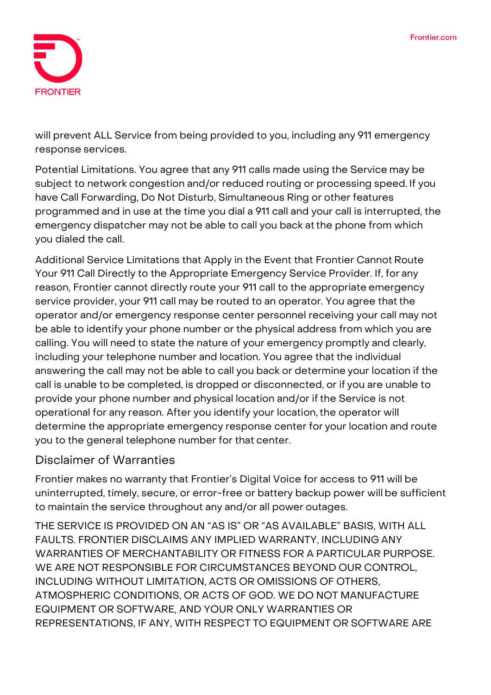

will prevent ALL Service from being provided to you, including any 911 emergency response services.

Potential Limitations. You agree that any 911 calls made using the Service may be subject to network congestion and/or reduced routing or processing speed. If you have Call Forwarding, Do Not Disturb, Simultaneous Ring or other features programmed and in use at the time you dial a 911 call and your call is interrupted, the emergency dispatcher may not be able to call you back atthe phone from which you dialed the call.

Additional Service Limitations that Apply in the Event that Frontier Cannot Route Your 911 Call Directly to the Appropriate Emergency Service Provider. If, for any reason, Frontier cannot directly route your 911 call to the appropriate emergency service provider, your 911 call may be routed to an operator. You agree that the operator and/or emergency response center personnel receiving your call may not be able to identify your phone number or the physical address from which you are calling. You will need to state the nature of your emergency promptly and clearly, including your telephone number and location. You agree that the individual answering the call may not be able to call you back or determine your location if the call is unable to be completed, is dropped or disconnected, or if you are unable to provide your phone number and physical location and/or if the Service is not operational for any reason. After you identify your location,the operator will determine the appropriate emergency response center for your location and route you to the general telephone number for that center.

## **Disclaimer of Warranties**

Frontier makes no warranty that Frontier's Digital Voice for access to 911 will be uninterrupted, timely, secure, or error-free or battery backup power will be sufficient to maintain the service throughout any and/or all power outages.

THE SERVICE IS PROVIDED ON AN "AS IS" OR "AS AVAILABLE" BASIS, WITH ALL FAULTS. FRONTIER DISCLAIMS ANY IMPLIED WARRANTY, INCLUDING ANY WARRANTIES OF MERCHANTABILITY OR FITNESS FOR A PARTICULAR PURPOSE. WE ARE NOT RESPONSIBLE FOR CIRCUMSTANCES BEYOND OUR CONTROL, INCLUDING WITHOUT LIMITATION, ACTS OR OMISSIONS OF OTHERS, ATMOSPHERIC CONDITIONS, OR ACTS OF GOD. WE DO NOT MANUFACTURE EQUIPMENT OR SOFTWARE, AND YOUR ONLY WARRANTIES OR REPRESENTATIONS, IF ANY, WITH RESPECT TO EQUIPMENT OR SOFTWARE ARE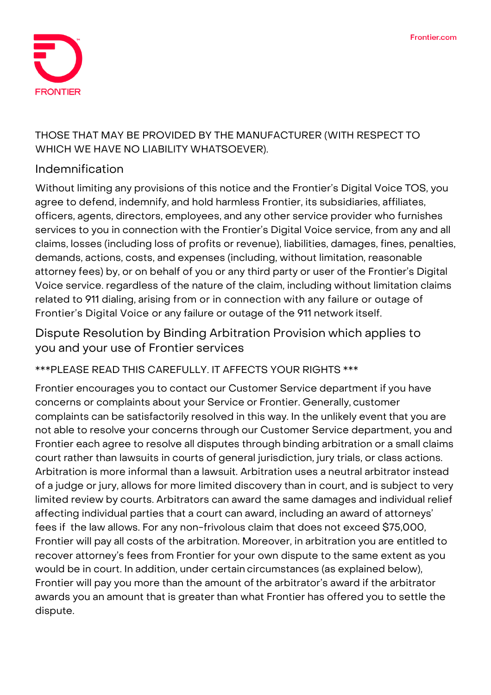

## THOSE THAT MAY BE PROVIDED BY THE MANUFACTURER (WITH RESPECT TO WHICH WE HAVE NO LIABILITY WHATSOEVER).

## **Indemnification**

Without limiting any provisions of this notice and the Frontier's Digital Voice TOS, you agree to defend, indemnify, and hold harmless Frontier, its subsidiaries, affiliates, officers, agents, directors, employees, and any other service provider who furnishes services to you in connection with the Frontier's Digital Voice service, from any and all claims, losses (including loss of profits or revenue), liabilities, damages, fines, penalties, demands, actions, costs, and expenses (including, without limitation, reasonable attorney fees) by, or on behalf of you or any third party or user of the Frontier's Digital Voice service. regardless of the nature of the claim, including without limitation claims related to 911 dialing, arising from or in connection with any failure or outage of Frontier's Digital Voice or any failure or outage of the 911 network itself.

**Dispute Resolution by Binding Arbitration Provision which applies to you and your use of Frontier services**

**\*\*\*PLEASE READ THIS CAREFULLY. IT AFFECTS YOUR RIGHTS \*\*\***

Frontier encourages you to contact our Customer Service department if you have concerns or complaints about your Service or Frontier. Generally, customer complaints can be satisfactorily resolved in this way. In the unlikely event that you are not able to resolve your concerns through our Customer Service department, you and Frontier each agree to resolve all disputes through binding arbitration or a small claims court rather than lawsuits in courts of general jurisdiction, jury trials, or class actions. Arbitration is more informal than a lawsuit. Arbitration uses a neutral arbitrator instead of a judge or jury, allows for more limited discovery than in court, and is subject to very limited review by courts. Arbitrators can award the same damages and individual relief affecting individual parties that a court can award, including an award of attorneys' fees if the law allows. For any non-frivolous claim that does not exceed \$75,000, Frontier will pay all costs of the arbitration. Moreover, in arbitration you are entitled to recover attorney's fees from Frontier for your own dispute to the same extent as you would be in court. In addition, under certain circumstances (as explained below), Frontier will pay you more than the amount of the arbitrator's award if the arbitrator awards you an amount that is greater than what Frontier has offered you to settle the dispute.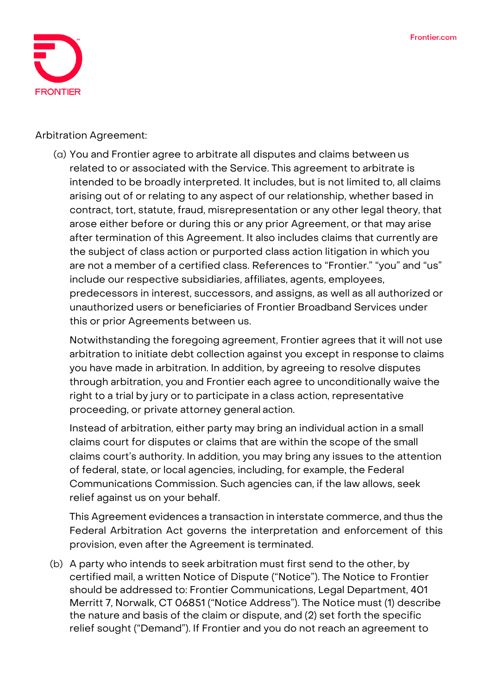

**Arbitration Agreement:**

(a) You and Frontier agree to arbitrate all disputes and claims between us related to or associated with the Service. This agreement to arbitrate is intended to be broadly interpreted. It includes, but is not limited to, all claims arising out of or relating to any aspect of our relationship, whether based in contract, tort, statute, fraud, misrepresentation or any other legal theory, that arose either before or during this or any prior Agreement, or that may arise after termination of this Agreement. It also includes claims that currently are the subject of class action or purported class action litigation in which you are not a member of a certified class. References to "Frontier." "you" and "us" include our respective subsidiaries, affiliates, agents, employees, predecessors in interest, successors, and assigns, as well as all authorized or unauthorized users or beneficiaries of Frontier Broadband Services under this or prior Agreements between us.

Notwithstanding the foregoing agreement, Frontier agrees that it will not use arbitration to initiate debt collection against you except in response to claims you have made in arbitration. In addition, by agreeing to resolve disputes through arbitration, you and Frontier each agree to unconditionally waive the right to a trial by jury or to participate in a class action, representative proceeding, or private attorney general action.

Instead of arbitration, either party may bring an individual action in a small claims court for disputes or claims that are within the scope of the small claims court's authority. In addition, you may bring any issues to the attention of federal, state, or local agencies, including, for example, the Federal Communications Commission. Such agencies can, if the law allows, seek relief against us on your behalf.

This Agreement evidences a transaction in interstate commerce, and thus the Federal Arbitration Act governs the interpretation and enforcement of this provision, even after the Agreement is terminated.

(b) A party who intends to seek arbitration must first send to the other, by certified mail, a written Notice of Dispute ("Notice"). The Notice to Frontier should be addressed to: Frontier Communications, Legal Department, 401 Merritt 7, Norwalk, CT 06851 ("Notice Address"). The Notice must (1) describe the nature and basis of the claim or dispute, and (2) set forth the specific relief sought ("Demand"). If Frontier and you do not reach an agreement to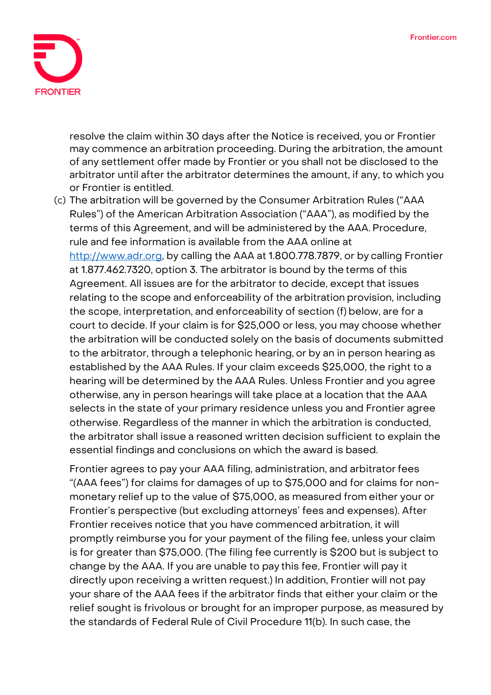

resolve the claim within 30 days after the Notice is received, you or Frontier may commence an arbitration proceeding. During the arbitration, the amount of any settlement offer made by Frontier or you shall not be disclosed to the arbitrator until after the arbitrator determines the amount, if any, to which you or Frontier is entitled.

(c) The arbitration will be governed by the Consumer Arbitration Rules ("AAA Rules") of the American Arbitration Association ("AAA"), as modified by the terms of this Agreement, and will be administered by the AAA. Procedure, rule and fee information is available from the AAA online at [http://www.adr.org,](http://www.adr.org/) by calling the AAA at 1.800.778.7879, or by calling Frontier at 1.877.462.7320, option 3. The arbitrator is bound by the terms of this Agreement. All issues are for the arbitrator to decide, except that issues relating to the scope and enforceability of the arbitration provision, including the scope, interpretation, and enforceability of section (f) below, are for a court to decide. If your claim is for \$25,000 or less, you may choose whether the arbitration will be conducted solely on the basis of documents submitted to the arbitrator, through a telephonic hearing, or by an in person hearing as established by the AAA Rules. If your claim exceeds \$25,000, the right to a hearing will be determined by the AAA Rules. Unless Frontier and you agree otherwise, any in person hearings will take place at a location that the AAA selects in the state of your primary residence unless you and Frontier agree otherwise. Regardless of the manner in which the arbitration is conducted, the arbitrator shall issue a reasoned written decision sufficient to explain the essential findings and conclusions on which the award is based.

Frontier agrees to pay your AAA filing, administration, and arbitratorfees "(AAA fees") for claims for damages of up to \$75,000 and for claims for nonmonetary relief up to the value of \$75,000, as measured from either your or Frontier's perspective (but excluding attorneys' fees and expenses). After Frontier receives notice that you have commenced arbitration, it will promptly reimburse you for your payment of the filing fee, unless your claim is for greater than \$75,000. (The filing fee currently is \$200 but is subject to change by the AAA. If you are unable to pay this fee, Frontier will pay it directly upon receiving a written request.) In addition, Frontier will not pay your share of the AAA fees if the arbitrator finds that either your claim or the relief sought is frivolous or brought for an improper purpose, as measured by the standards of Federal Rule of Civil Procedure 11(b). In such case, the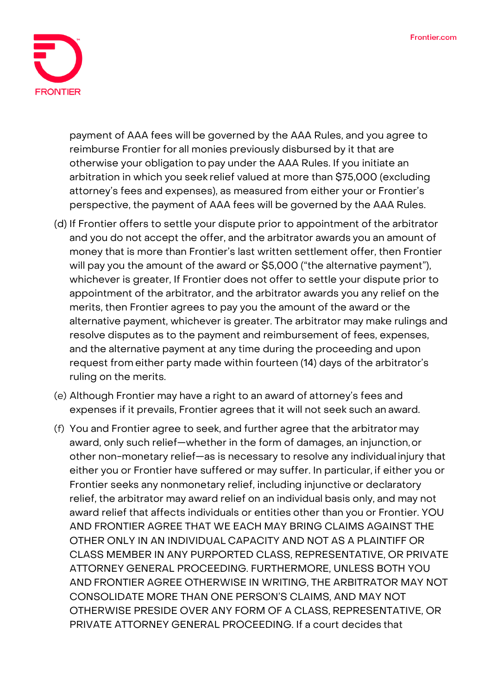

payment of AAA fees will be governed by the AAA Rules, and you agree to reimburse Frontier for all monies previously disbursed by it that are otherwise your obligation to pay under the AAA Rules. If you initiate an arbitration in which you seek relief valued at more than \$75,000 (excluding attorney's fees and expenses), as measured from either your or Frontier's perspective, the payment of AAA fees will be governed by the AAA Rules.

- (d) If Frontier offers to settle your dispute prior to appointment of the arbitrator and you do not accept the offer, and the arbitrator awards you an amount of money that is more than Frontier's last written settlement offer, then Frontier will pay you the amount of the award or \$5,000 ("the alternative payment"), whichever is greater, If Frontier does not offer to settle your dispute prior to appointment of the arbitrator, and the arbitrator awards you any relief on the merits, then Frontier agrees to pay you the amount of the award or the alternative payment, whichever is greater. The arbitrator may make rulings and resolve disputes as to the payment and reimbursement of fees, expenses, and the alternative payment at any time during the proceeding and upon request from either party made within fourteen (14) days of the arbitrator's ruling on the merits.
- (e) Although Frontier may have a right to an award of attorney's fees and expenses if it prevails, Frontier agrees that it will not seek such an award.
- (f) You and Frontier agree to seek, and further agree that the arbitrator may award, only such relief—whether in the form of damages, an injunction,or other non-monetary relief—as is necessary to resolve any individual injury that either you or Frontier have suffered or may suffer. In particular, if either you or Frontier seeks any nonmonetary relief, including injunctive or declaratory relief, the arbitrator may award relief on an individual basis only, and may not award relief that affects individuals or entities other than you or Frontier. YOU AND FRONTIER AGREE THAT WE EACH MAY BRING CLAIMS AGAINST THE OTHER ONLY IN AN INDIVIDUAL CAPACITY AND NOT AS A PLAINTIFF OR CLASS MEMBER IN ANY PURPORTED CLASS, REPRESENTATIVE, OR PRIVATE ATTORNEY GENERAL PROCEEDING. FURTHERMORE, UNLESS BOTH YOU AND FRONTIER AGREE OTHERWISE IN WRITING, THE ARBITRATOR MAY NOT CONSOLIDATE MORE THAN ONE PERSON'S CLAIMS, AND MAY NOT OTHERWISE PRESIDE OVER ANY FORM OF A CLASS, REPRESENTATIVE, OR PRIVATE ATTORNEY GENERAL PROCEEDING. If a court decides that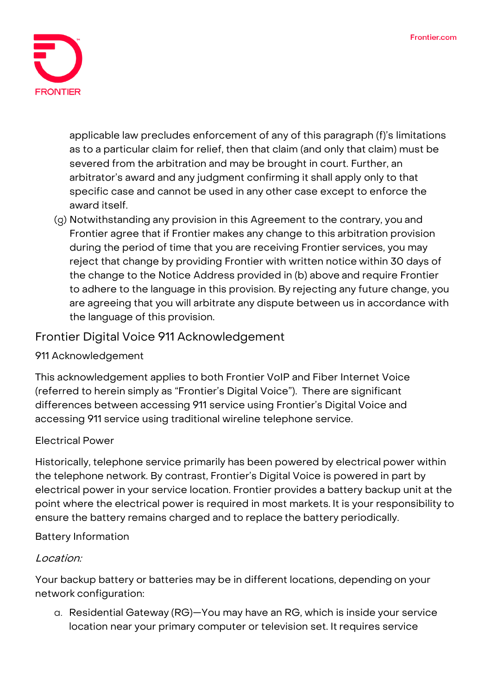

applicable law precludes enforcement of any of this paragraph (f)'s limitations as to a particular claim for relief, then that claim (and only that claim) must be severed from the arbitration and may be brought in court. Further, an arbitrator's award and any judgment confirming it shall apply only to that specific case and cannot be used in any other case except to enforce the award itself.

(g) Notwithstanding any provision in this Agreement to the contrary, you and Frontier agree that if Frontier makes any change to this arbitration provision during the period of time that you are receiving Frontier services, you may reject that change by providing Frontier with written notice within 30 days of the change to the Notice Address provided in (b) above and require Frontier to adhere to the language in this provision. By rejecting any future change, you are agreeing that you will arbitrate any dispute between us in accordance with the language of this provision.

## **Frontier Digital Voice 911 Acknowledgement**

#### **911 Acknowledgement**

This acknowledgement applies to both Frontier VoIP and Fiber Internet Voice (referred to herein simply as "Frontier's Digital Voice"). There are significant differences between accessing 911 service using Frontier's Digital Voice and accessing 911 service using traditional wireline telephone service.

#### **Electrical Power**

Historically, telephone service primarily has been powered by electrical power within the telephone network. By contrast, Frontier's Digital Voice is powered in part by electrical power in your service location. Frontier provides a battery backup unit at the point where the electrical power is required in most markets. It is your responsibility to ensure the battery remains charged and to replace the battery periodically.

#### **Battery Information**

#### Location:

Your backup battery or batteries may be in different locations, depending on your network configuration:

a. Residential Gateway (RG)—You may have an RG, which is inside your service location near your primary computer or television set. It requires service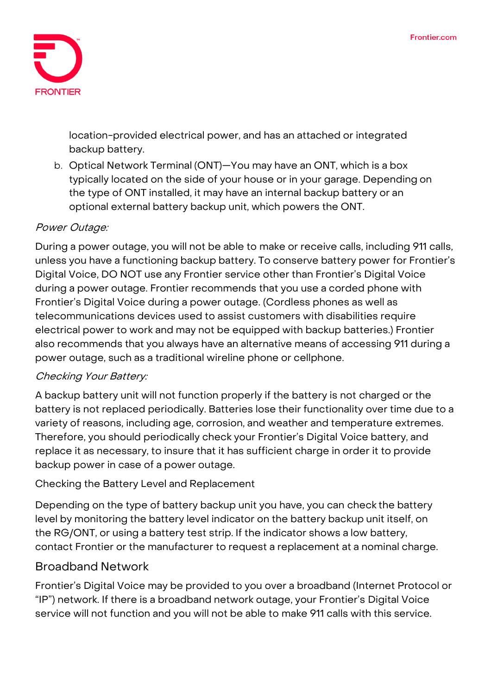

location-provided electrical power, and has an attached or integrated backup battery.

b. Optical Network Terminal (ONT)—You may have an ONT, which is a box typically located on the side of your house or in your garage. Depending on the type of ONT installed, it may have an internal backup battery or an optional external battery backup unit, which powers the ONT.

## Power Outage:

During a power outage, you will not be able to make or receive calls, including 911 calls, unless you have a functioning backup battery. To conserve battery power for Frontier's Digital Voice, DO NOT use any Frontier service other than Frontier's Digital Voice during a power outage. Frontier recommends that you use a corded phone with Frontier's Digital Voice during a power outage. (Cordless phones as well as telecommunications devices used to assist customers with disabilities require electrical power to work and may not be equipped with backup batteries.) Frontier also recommends that you always have an alternative means of accessing 911 during a power outage, such as a traditional wireline phone or cellphone.

## Checking Your Battery:

A backup battery unit will not function properly if the battery is not charged or the battery is not replaced periodically. Batteries lose their functionality over time due to a variety of reasons, including age, corrosion, and weather and temperature extremes. Therefore, you should periodically check your Frontier's Digital Voice battery, and replace it as necessary, to insure that it has sufficient charge in order it to provide backup power in case of a power outage.

#### **Checking the Battery Level and Replacement**

Depending on the type of battery backup unit you have, you can check the battery level by monitoring the battery level indicator on the battery backup unit itself, on the RG/ONT, or using a battery test strip. If the indicator shows a low battery, contact Frontier or the manufacturer to request a replacement at a nominal charge.

#### **Broadband Network**

Frontier's Digital Voice may be provided to you over a broadband (Internet Protocol or "IP") network. If there is a broadband network outage, your Frontier's Digital Voice service will not function and you will not be able to make 911 calls with this service.